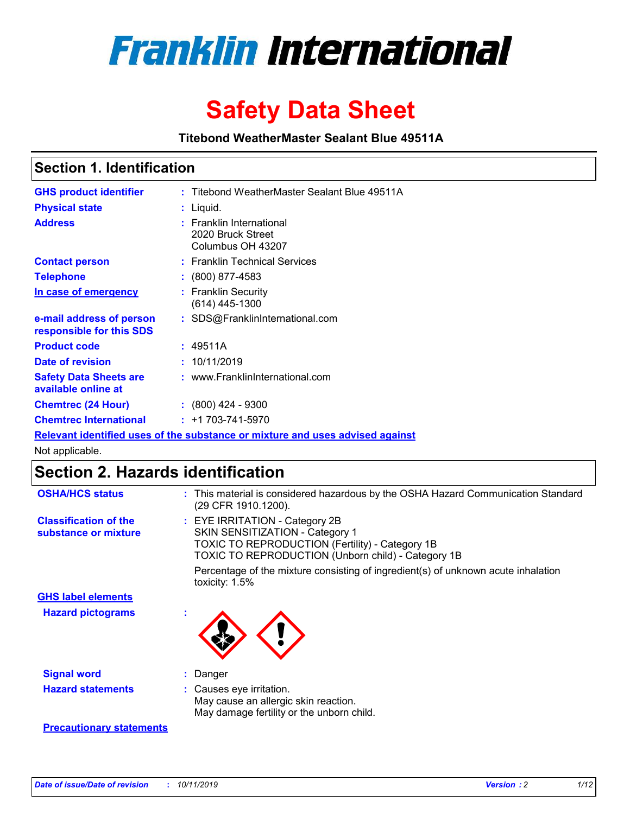

# **Safety Data Sheet**

**Titebond WeatherMaster Sealant Blue 49511A**

### **Section 1. Identification**

| <b>GHS product identifier</b>                        | : Titebond WeatherMaster Sealant Blue 49511A                                  |
|------------------------------------------------------|-------------------------------------------------------------------------------|
| <b>Physical state</b>                                | : Liquid.                                                                     |
| <b>Address</b>                                       | : Franklin International<br>2020 Bruck Street<br>Columbus OH 43207            |
| <b>Contact person</b>                                | : Franklin Technical Services                                                 |
| <b>Telephone</b>                                     | $\div$ (800) 877-4583                                                         |
| In case of emergency                                 | : Franklin Security<br>(614) 445-1300                                         |
| e-mail address of person<br>responsible for this SDS | : SDS@FranklinInternational.com                                               |
| <b>Product code</b>                                  | : 49511A                                                                      |
| Date of revision                                     | : 10/11/2019                                                                  |
| <b>Safety Data Sheets are</b><br>available online at | : www.FranklinInternational.com                                               |
| <b>Chemtrec (24 Hour)</b>                            | $\div$ (800) 424 - 9300                                                       |
| <b>Chemtrec International</b>                        | $: +1703 - 741 - 5970$                                                        |
|                                                      | Relevant identified uses of the substance or mixture and uses advised against |

Not applicable.

## **Section 2. Hazards identification**

| <b>OSHA/HCS status</b>                               | : This material is considered hazardous by the OSHA Hazard Communication Standard<br>(29 CFR 1910.1200).                                                                          |
|------------------------------------------------------|-----------------------------------------------------------------------------------------------------------------------------------------------------------------------------------|
| <b>Classification of the</b><br>substance or mixture | : EYE IRRITATION - Category 2B<br>SKIN SENSITIZATION - Category 1<br><b>TOXIC TO REPRODUCTION (Fertility) - Category 1B</b><br>TOXIC TO REPRODUCTION (Unborn child) - Category 1B |
|                                                      | Percentage of the mixture consisting of ingredient(s) of unknown acute inhalation<br>toxicity: $1.5\%$                                                                            |
| <b>GHS label elements</b>                            |                                                                                                                                                                                   |
| <b>Hazard pictograms</b>                             |                                                                                                                                                                                   |
| <b>Signal word</b>                                   | : Danger                                                                                                                                                                          |
| <b>Hazard statements</b>                             | : Causes eye irritation.<br>May cause an allergic skin reaction.<br>May damage fertility or the unborn child.                                                                     |
| <b>Precautionary statements</b>                      |                                                                                                                                                                                   |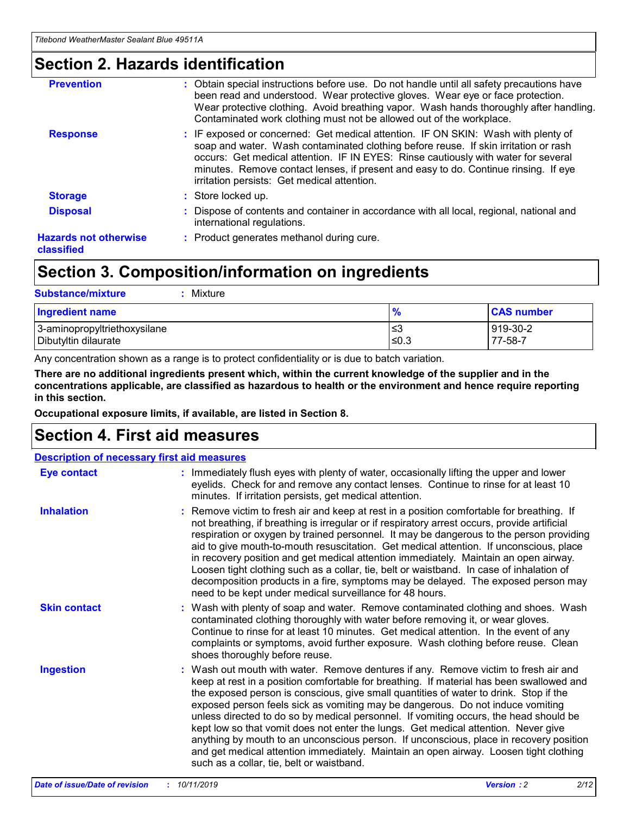### **Section 2. Hazards identification**

| <b>Prevention</b>                          | : Obtain special instructions before use. Do not handle until all safety precautions have<br>been read and understood. Wear protective gloves. Wear eye or face protection.<br>Wear protective clothing. Avoid breathing vapor. Wash hands thoroughly after handling.<br>Contaminated work clothing must not be allowed out of the workplace.                                                        |
|--------------------------------------------|------------------------------------------------------------------------------------------------------------------------------------------------------------------------------------------------------------------------------------------------------------------------------------------------------------------------------------------------------------------------------------------------------|
| <b>Response</b>                            | : IF exposed or concerned: Get medical attention. IF ON SKIN: Wash with plenty of<br>soap and water. Wash contaminated clothing before reuse. If skin irritation or rash<br>occurs: Get medical attention. IF IN EYES: Rinse cautiously with water for several<br>minutes. Remove contact lenses, if present and easy to do. Continue rinsing. If eye<br>irritation persists: Get medical attention. |
| <b>Storage</b>                             | : Store locked up.                                                                                                                                                                                                                                                                                                                                                                                   |
| <b>Disposal</b>                            | : Dispose of contents and container in accordance with all local, regional, national and<br>international regulations.                                                                                                                                                                                                                                                                               |
| <b>Hazards not otherwise</b><br>classified | : Product generates methanol during cure.                                                                                                                                                                                                                                                                                                                                                            |
|                                            |                                                                                                                                                                                                                                                                                                                                                                                                      |

## **Section 3. Composition/information on ingredients**

| <b>Substance/mixture</b><br>Mixture                  |               |                     |
|------------------------------------------------------|---------------|---------------------|
| <b>Ingredient name</b>                               | $\frac{9}{6}$ | <b>CAS number</b>   |
| 3-aminopropyltriethoxysilane<br>Dibutyltin dilaurate | ≤3<br>$≤0.3$  | 919-30-2<br>77-58-7 |

Any concentration shown as a range is to protect confidentiality or is due to batch variation.

**There are no additional ingredients present which, within the current knowledge of the supplier and in the concentrations applicable, are classified as hazardous to health or the environment and hence require reporting in this section.**

**Occupational exposure limits, if available, are listed in Section 8.**

### **Section 4. First aid measures**

| <b>Description of necessary first aid measures</b> |                                                                                                                                                                                                                                                                                                                                                                                                                                                                                                                                                                                                                                                                                                                                                                           |  |  |  |
|----------------------------------------------------|---------------------------------------------------------------------------------------------------------------------------------------------------------------------------------------------------------------------------------------------------------------------------------------------------------------------------------------------------------------------------------------------------------------------------------------------------------------------------------------------------------------------------------------------------------------------------------------------------------------------------------------------------------------------------------------------------------------------------------------------------------------------------|--|--|--|
| <b>Eye contact</b>                                 | : Immediately flush eyes with plenty of water, occasionally lifting the upper and lower<br>eyelids. Check for and remove any contact lenses. Continue to rinse for at least 10<br>minutes. If irritation persists, get medical attention.                                                                                                                                                                                                                                                                                                                                                                                                                                                                                                                                 |  |  |  |
| <b>Inhalation</b>                                  | : Remove victim to fresh air and keep at rest in a position comfortable for breathing. If<br>not breathing, if breathing is irregular or if respiratory arrest occurs, provide artificial<br>respiration or oxygen by trained personnel. It may be dangerous to the person providing<br>aid to give mouth-to-mouth resuscitation. Get medical attention. If unconscious, place<br>in recovery position and get medical attention immediately. Maintain an open airway.<br>Loosen tight clothing such as a collar, tie, belt or waistband. In case of inhalation of<br>decomposition products in a fire, symptoms may be delayed. The exposed person may<br>need to be kept under medical surveillance for 48 hours.                                                       |  |  |  |
| <b>Skin contact</b>                                | : Wash with plenty of soap and water. Remove contaminated clothing and shoes. Wash<br>contaminated clothing thoroughly with water before removing it, or wear gloves.<br>Continue to rinse for at least 10 minutes. Get medical attention. In the event of any<br>complaints or symptoms, avoid further exposure. Wash clothing before reuse. Clean<br>shoes thoroughly before reuse.                                                                                                                                                                                                                                                                                                                                                                                     |  |  |  |
| <b>Ingestion</b>                                   | : Wash out mouth with water. Remove dentures if any. Remove victim to fresh air and<br>keep at rest in a position comfortable for breathing. If material has been swallowed and<br>the exposed person is conscious, give small quantities of water to drink. Stop if the<br>exposed person feels sick as vomiting may be dangerous. Do not induce vomiting<br>unless directed to do so by medical personnel. If vomiting occurs, the head should be<br>kept low so that vomit does not enter the lungs. Get medical attention. Never give<br>anything by mouth to an unconscious person. If unconscious, place in recovery position<br>and get medical attention immediately. Maintain an open airway. Loosen tight clothing<br>such as a collar, tie, belt or waistband. |  |  |  |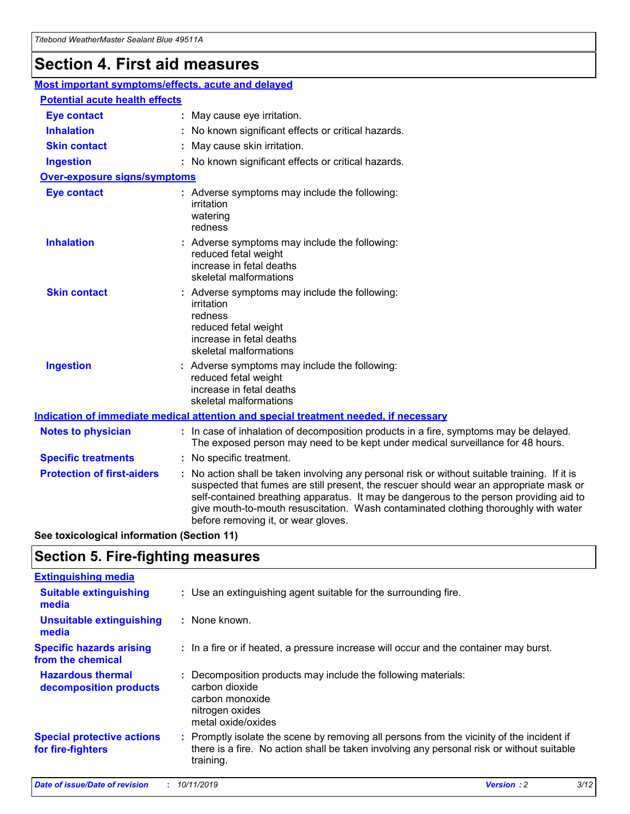## **Section 4. First aid measures**

| Most important symptoms/effects, acute and delayed |  |                                                                                                                                                                                                                                                                                                                                                                                                                 |
|----------------------------------------------------|--|-----------------------------------------------------------------------------------------------------------------------------------------------------------------------------------------------------------------------------------------------------------------------------------------------------------------------------------------------------------------------------------------------------------------|
| <b>Potential acute health effects</b>              |  |                                                                                                                                                                                                                                                                                                                                                                                                                 |
| <b>Eye contact</b>                                 |  | : May cause eye irritation.                                                                                                                                                                                                                                                                                                                                                                                     |
| <b>Inhalation</b>                                  |  | : No known significant effects or critical hazards.                                                                                                                                                                                                                                                                                                                                                             |
| <b>Skin contact</b>                                |  | : May cause skin irritation.                                                                                                                                                                                                                                                                                                                                                                                    |
| <b>Ingestion</b>                                   |  | : No known significant effects or critical hazards.                                                                                                                                                                                                                                                                                                                                                             |
| Over-exposure signs/symptoms                       |  |                                                                                                                                                                                                                                                                                                                                                                                                                 |
| <b>Eye contact</b>                                 |  | : Adverse symptoms may include the following:<br>irritation<br>watering<br>redness                                                                                                                                                                                                                                                                                                                              |
| <b>Inhalation</b>                                  |  | : Adverse symptoms may include the following:<br>reduced fetal weight<br>increase in fetal deaths<br>skeletal malformations                                                                                                                                                                                                                                                                                     |
| <b>Skin contact</b>                                |  | : Adverse symptoms may include the following:<br>irritation<br>redness<br>reduced fetal weight<br>increase in fetal deaths<br>skeletal malformations                                                                                                                                                                                                                                                            |
| <b>Ingestion</b>                                   |  | : Adverse symptoms may include the following:<br>reduced fetal weight<br>increase in fetal deaths<br>skeletal malformations                                                                                                                                                                                                                                                                                     |
|                                                    |  | <b>Indication of immediate medical attention and special treatment needed, if necessary</b>                                                                                                                                                                                                                                                                                                                     |
| <b>Notes to physician</b>                          |  | : In case of inhalation of decomposition products in a fire, symptoms may be delayed.<br>The exposed person may need to be kept under medical surveillance for 48 hours.                                                                                                                                                                                                                                        |
| <b>Specific treatments</b>                         |  | : No specific treatment.                                                                                                                                                                                                                                                                                                                                                                                        |
| <b>Protection of first-aiders</b>                  |  | : No action shall be taken involving any personal risk or without suitable training. If it is<br>suspected that fumes are still present, the rescuer should wear an appropriate mask or<br>self-contained breathing apparatus. It may be dangerous to the person providing aid to<br>give mouth-to-mouth resuscitation. Wash contaminated clothing thoroughly with water<br>before removing it, or wear gloves. |

**See toxicological information (Section 11)**

### **Section 5. Fire-fighting measures**

| <b>Extinguishing media</b>                             |                                                                                                                                                                                                     |
|--------------------------------------------------------|-----------------------------------------------------------------------------------------------------------------------------------------------------------------------------------------------------|
| <b>Suitable extinguishing</b><br>media                 | : Use an extinguishing agent suitable for the surrounding fire.                                                                                                                                     |
| <b>Unsuitable extinguishing</b><br>media               | : None known.                                                                                                                                                                                       |
| <b>Specific hazards arising</b><br>from the chemical   | : In a fire or if heated, a pressure increase will occur and the container may burst.                                                                                                               |
| <b>Hazardous thermal</b><br>decomposition products     | : Decomposition products may include the following materials:<br>carbon dioxide<br>carbon monoxide<br>nitrogen oxides<br>metal oxide/oxides                                                         |
| <b>Special protective actions</b><br>for fire-fighters | : Promptly isolate the scene by removing all persons from the vicinity of the incident if<br>there is a fire. No action shall be taken involving any personal risk or without suitable<br>training. |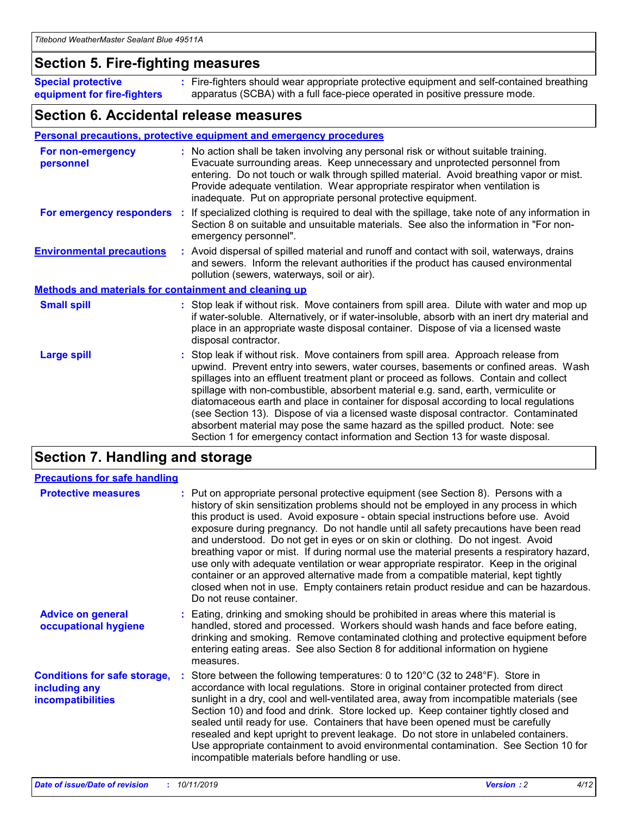### **Section 5. Fire-fighting measures**

**Special protective equipment for fire-fighters** Fire-fighters should wear appropriate protective equipment and self-contained breathing **:** apparatus (SCBA) with a full face-piece operated in positive pressure mode.

### **Section 6. Accidental release measures**

#### **Personal precautions, protective equipment and emergency procedures**

| For non-emergency<br>personnel                               | : No action shall be taken involving any personal risk or without suitable training.<br>Evacuate surrounding areas. Keep unnecessary and unprotected personnel from<br>entering. Do not touch or walk through spilled material. Avoid breathing vapor or mist.<br>Provide adequate ventilation. Wear appropriate respirator when ventilation is<br>inadequate. Put on appropriate personal protective equipment.                                                                                                                                                                                                                                                                                             |
|--------------------------------------------------------------|--------------------------------------------------------------------------------------------------------------------------------------------------------------------------------------------------------------------------------------------------------------------------------------------------------------------------------------------------------------------------------------------------------------------------------------------------------------------------------------------------------------------------------------------------------------------------------------------------------------------------------------------------------------------------------------------------------------|
|                                                              | For emergency responders : If specialized clothing is required to deal with the spillage, take note of any information in<br>Section 8 on suitable and unsuitable materials. See also the information in "For non-<br>emergency personnel".                                                                                                                                                                                                                                                                                                                                                                                                                                                                  |
| <b>Environmental precautions</b>                             | : Avoid dispersal of spilled material and runoff and contact with soil, waterways, drains<br>and sewers. Inform the relevant authorities if the product has caused environmental<br>pollution (sewers, waterways, soil or air).                                                                                                                                                                                                                                                                                                                                                                                                                                                                              |
| <b>Methods and materials for containment and cleaning up</b> |                                                                                                                                                                                                                                                                                                                                                                                                                                                                                                                                                                                                                                                                                                              |
| <b>Small spill</b>                                           | : Stop leak if without risk. Move containers from spill area. Dilute with water and mop up<br>if water-soluble. Alternatively, or if water-insoluble, absorb with an inert dry material and<br>place in an appropriate waste disposal container. Dispose of via a licensed waste<br>disposal contractor.                                                                                                                                                                                                                                                                                                                                                                                                     |
| <b>Large spill</b>                                           | : Stop leak if without risk. Move containers from spill area. Approach release from<br>upwind. Prevent entry into sewers, water courses, basements or confined areas. Wash<br>spillages into an effluent treatment plant or proceed as follows. Contain and collect<br>spillage with non-combustible, absorbent material e.g. sand, earth, vermiculite or<br>diatomaceous earth and place in container for disposal according to local regulations<br>(see Section 13). Dispose of via a licensed waste disposal contractor. Contaminated<br>absorbent material may pose the same hazard as the spilled product. Note: see<br>Section 1 for emergency contact information and Section 13 for waste disposal. |

### **Section 7. Handling and storage**

| <b>Precautions for safe handling</b>                                             |                                                                                                                                                                                                                                                                                                                                                                                                                                                                                                                                                                                                                                                                                                                                                                                                                                                  |
|----------------------------------------------------------------------------------|--------------------------------------------------------------------------------------------------------------------------------------------------------------------------------------------------------------------------------------------------------------------------------------------------------------------------------------------------------------------------------------------------------------------------------------------------------------------------------------------------------------------------------------------------------------------------------------------------------------------------------------------------------------------------------------------------------------------------------------------------------------------------------------------------------------------------------------------------|
| <b>Protective measures</b>                                                       | : Put on appropriate personal protective equipment (see Section 8). Persons with a<br>history of skin sensitization problems should not be employed in any process in which<br>this product is used. Avoid exposure - obtain special instructions before use. Avoid<br>exposure during pregnancy. Do not handle until all safety precautions have been read<br>and understood. Do not get in eyes or on skin or clothing. Do not ingest. Avoid<br>breathing vapor or mist. If during normal use the material presents a respiratory hazard,<br>use only with adequate ventilation or wear appropriate respirator. Keep in the original<br>container or an approved alternative made from a compatible material, kept tightly<br>closed when not in use. Empty containers retain product residue and can be hazardous.<br>Do not reuse container. |
| <b>Advice on general</b><br>occupational hygiene                                 | : Eating, drinking and smoking should be prohibited in areas where this material is<br>handled, stored and processed. Workers should wash hands and face before eating,<br>drinking and smoking. Remove contaminated clothing and protective equipment before<br>entering eating areas. See also Section 8 for additional information on hygiene<br>measures.                                                                                                                                                                                                                                                                                                                                                                                                                                                                                    |
| <b>Conditions for safe storage,</b><br>including any<br><b>incompatibilities</b> | : Store between the following temperatures: 0 to 120 $\degree$ C (32 to 248 $\degree$ F). Store in<br>accordance with local regulations. Store in original container protected from direct<br>sunlight in a dry, cool and well-ventilated area, away from incompatible materials (see<br>Section 10) and food and drink. Store locked up. Keep container tightly closed and<br>sealed until ready for use. Containers that have been opened must be carefully<br>resealed and kept upright to prevent leakage. Do not store in unlabeled containers.<br>Use appropriate containment to avoid environmental contamination. See Section 10 for<br>incompatible materials before handling or use.                                                                                                                                                   |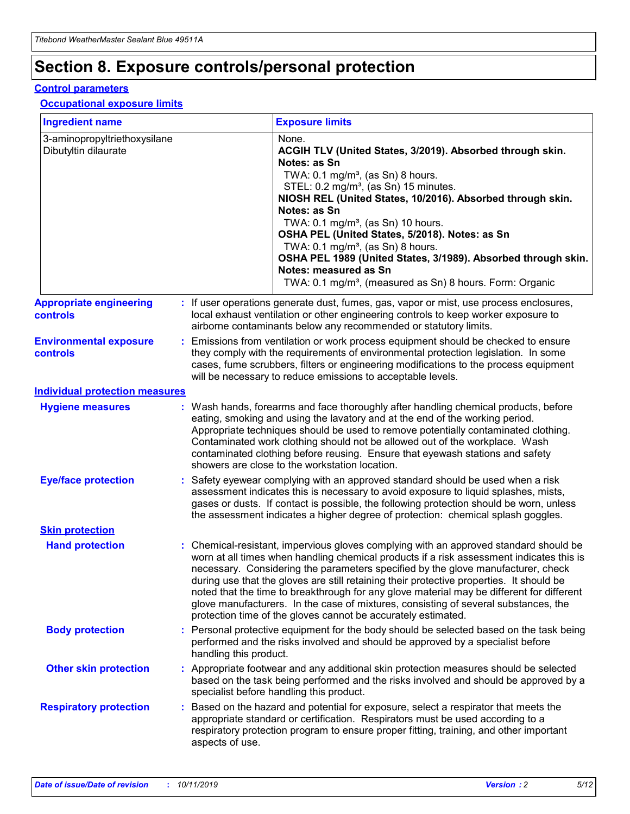## **Section 8. Exposure controls/personal protection**

#### **Control parameters**

#### **Occupational exposure limits**

| <b>Ingredient name</b>                               |    |                        | <b>Exposure limits</b>                                                                                                                                                                                                                                                                                                                                                                                                                                                                                                                                                                                                 |
|------------------------------------------------------|----|------------------------|------------------------------------------------------------------------------------------------------------------------------------------------------------------------------------------------------------------------------------------------------------------------------------------------------------------------------------------------------------------------------------------------------------------------------------------------------------------------------------------------------------------------------------------------------------------------------------------------------------------------|
| 3-aminopropyltriethoxysilane<br>Dibutyltin dilaurate |    |                        | None.<br>ACGIH TLV (United States, 3/2019). Absorbed through skin.<br>Notes: as Sn<br>TWA: 0.1 mg/m <sup>3</sup> , (as Sn) 8 hours.<br>STEL: 0.2 mg/m <sup>3</sup> , (as Sn) 15 minutes.<br>NIOSH REL (United States, 10/2016). Absorbed through skin.<br>Notes: as Sn<br>TWA: 0.1 mg/m <sup>3</sup> , (as Sn) 10 hours.<br>OSHA PEL (United States, 5/2018). Notes: as Sn<br>TWA: $0.1 \text{ mg/m}^3$ , (as Sn) 8 hours.<br>OSHA PEL 1989 (United States, 3/1989). Absorbed through skin.<br>Notes: measured as Sn<br>TWA: 0.1 mg/m <sup>3</sup> , (measured as Sn) 8 hours. Form: Organic                           |
| <b>Appropriate engineering</b><br>controls           |    |                        | : If user operations generate dust, fumes, gas, vapor or mist, use process enclosures,<br>local exhaust ventilation or other engineering controls to keep worker exposure to<br>airborne contaminants below any recommended or statutory limits.                                                                                                                                                                                                                                                                                                                                                                       |
| <b>Environmental exposure</b><br><b>controls</b>     |    |                        | Emissions from ventilation or work process equipment should be checked to ensure<br>they comply with the requirements of environmental protection legislation. In some<br>cases, fume scrubbers, filters or engineering modifications to the process equipment<br>will be necessary to reduce emissions to acceptable levels.                                                                                                                                                                                                                                                                                          |
| <b>Individual protection measures</b>                |    |                        |                                                                                                                                                                                                                                                                                                                                                                                                                                                                                                                                                                                                                        |
| <b>Hygiene measures</b>                              |    |                        | : Wash hands, forearms and face thoroughly after handling chemical products, before<br>eating, smoking and using the lavatory and at the end of the working period.<br>Appropriate techniques should be used to remove potentially contaminated clothing.<br>Contaminated work clothing should not be allowed out of the workplace. Wash<br>contaminated clothing before reusing. Ensure that eyewash stations and safety<br>showers are close to the workstation location.                                                                                                                                            |
| <b>Eye/face protection</b>                           |    |                        | : Safety eyewear complying with an approved standard should be used when a risk<br>assessment indicates this is necessary to avoid exposure to liquid splashes, mists,<br>gases or dusts. If contact is possible, the following protection should be worn, unless<br>the assessment indicates a higher degree of protection: chemical splash goggles.                                                                                                                                                                                                                                                                  |
| <b>Skin protection</b>                               |    |                        |                                                                                                                                                                                                                                                                                                                                                                                                                                                                                                                                                                                                                        |
| <b>Hand protection</b>                               |    |                        | : Chemical-resistant, impervious gloves complying with an approved standard should be<br>worn at all times when handling chemical products if a risk assessment indicates this is<br>necessary. Considering the parameters specified by the glove manufacturer, check<br>during use that the gloves are still retaining their protective properties. It should be<br>noted that the time to breakthrough for any glove material may be different for different<br>glove manufacturers. In the case of mixtures, consisting of several substances, the<br>protection time of the gloves cannot be accurately estimated. |
| <b>Body protection</b>                               |    | handling this product. | Personal protective equipment for the body should be selected based on the task being<br>performed and the risks involved and should be approved by a specialist before                                                                                                                                                                                                                                                                                                                                                                                                                                                |
| <b>Other skin protection</b>                         |    |                        | : Appropriate footwear and any additional skin protection measures should be selected<br>based on the task being performed and the risks involved and should be approved by a<br>specialist before handling this product.                                                                                                                                                                                                                                                                                                                                                                                              |
| <b>Respiratory protection</b>                        | ÷. | aspects of use.        | Based on the hazard and potential for exposure, select a respirator that meets the<br>appropriate standard or certification. Respirators must be used according to a<br>respiratory protection program to ensure proper fitting, training, and other important                                                                                                                                                                                                                                                                                                                                                         |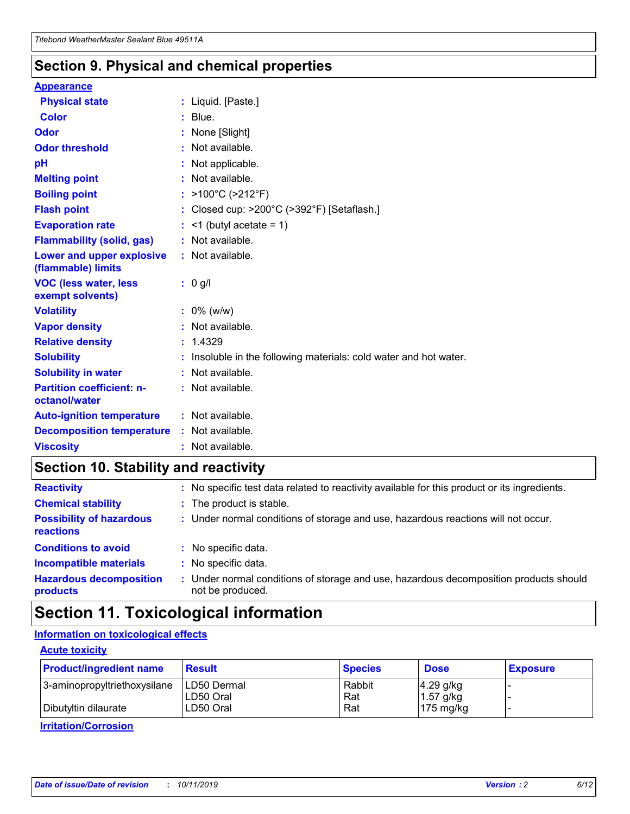### **Section 9. Physical and chemical properties**

#### **Appearance**

| <b>Physical state</b>                             | : Liquid. [Paste.]                                              |
|---------------------------------------------------|-----------------------------------------------------------------|
| Color                                             | $:$ Blue.                                                       |
| Odor                                              | : None [Slight]                                                 |
| <b>Odor threshold</b>                             | $:$ Not available.                                              |
| рH                                                | : Not applicable.                                               |
| <b>Melting point</b>                              | : Not available.                                                |
| <b>Boiling point</b>                              | : >100°C (>212°F)                                               |
| <b>Flash point</b>                                | : Closed cup: >200°C (>392°F) [Setaflash.]                      |
| <b>Evaporation rate</b>                           | $:$ <1 (butyl acetate = 1)                                      |
| <b>Flammability (solid, gas)</b>                  | : Not available.                                                |
| Lower and upper explosive<br>(flammable) limits   | $:$ Not available.                                              |
| <b>VOC (less water, less</b><br>exempt solvents)  | : 0 g/l                                                         |
| <b>Volatility</b>                                 | $: 0\%$ (w/w)                                                   |
| <b>Vapor density</b>                              | : Not available.                                                |
| <b>Relative density</b>                           | : 1.4329                                                        |
| <b>Solubility</b>                                 | Insoluble in the following materials: cold water and hot water. |
| <b>Solubility in water</b>                        | : Not available.                                                |
| <b>Partition coefficient: n-</b><br>octanol/water | $:$ Not available.                                              |
| <b>Auto-ignition temperature</b>                  | $:$ Not available.                                              |
|                                                   |                                                                 |
| <b>Decomposition temperature</b>                  | : Not available.                                                |

### **Section 10. Stability and reactivity**

| <b>Reactivity</b>                            |    | : No specific test data related to reactivity available for this product or its ingredients.            |
|----------------------------------------------|----|---------------------------------------------------------------------------------------------------------|
| <b>Chemical stability</b>                    |    | : The product is stable.                                                                                |
| <b>Possibility of hazardous</b><br>reactions |    | : Under normal conditions of storage and use, hazardous reactions will not occur.                       |
| <b>Conditions to avoid</b>                   |    | : No specific data.                                                                                     |
| <b>Incompatible materials</b>                | ٠. | No specific data.                                                                                       |
| <b>Hazardous decomposition</b><br>products   | ÷. | Under normal conditions of storage and use, hazardous decomposition products should<br>not be produced. |

### **Section 11. Toxicological information**

### **Information on toxicological effects**

#### **Acute toxicity**

| <b>Product/ingredient name</b> | <b>Result</b>           | <b>Species</b> | <b>Dose</b>                | <b>Exposure</b> |
|--------------------------------|-------------------------|----------------|----------------------------|-----------------|
| 3-aminopropyltriethoxysilane   | <b>ILD50 Dermal</b>     | Rabbit         | 4.29 g/kg                  |                 |
| Dibutyltin dilaurate           | ILD50 Oral<br>LD50 Oral | Rat<br>Rat     | $1.57$ g/kg<br>175 $mg/kg$ |                 |
|                                |                         |                |                            |                 |

**Irritation/Corrosion**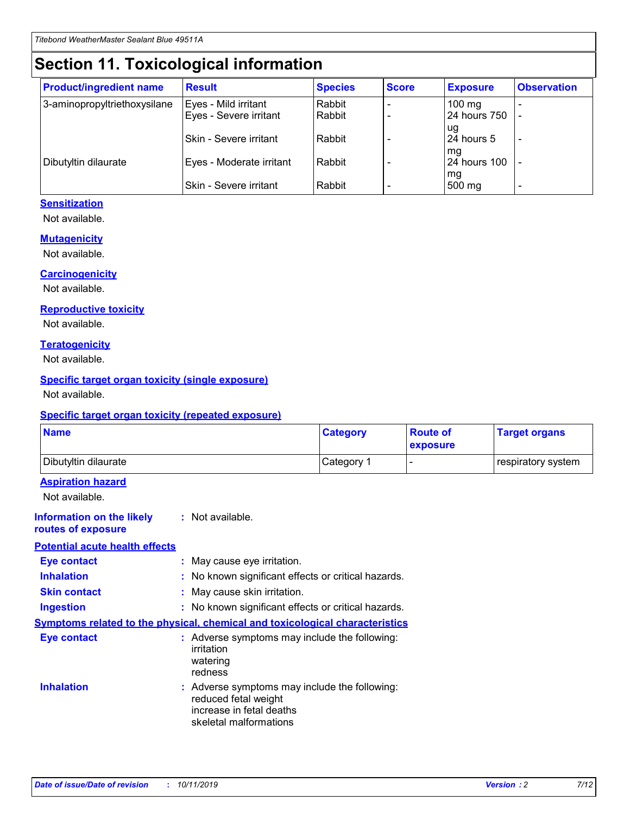## **Section 11. Toxicological information**

| <b>Product/ingredient name</b> | <b>Result</b>                 | <b>Species</b> | <b>Score</b> | <b>Exposure</b>    | <b>Observation</b> |
|--------------------------------|-------------------------------|----------------|--------------|--------------------|--------------------|
| 3-aminopropyltriethoxysilane   | Eyes - Mild irritant          | Rabbit         |              | $100 \text{ mg}$   |                    |
|                                | Eyes - Severe irritant        | Rabbit         |              | 24 hours 750       |                    |
|                                |                               |                |              | ug                 |                    |
|                                | <b>Skin - Severe irritant</b> | Rabbit         |              | 24 hours 5         | -                  |
| Dibutyltin dilaurate           | Eyes - Moderate irritant      | Rabbit         |              | mq<br>24 hours 100 |                    |
|                                |                               |                |              | mg                 |                    |
|                                | Skin - Severe irritant        | Rabbit         |              | 500 mg             |                    |

### **Sensitization**

Not available.

#### **Mutagenicity**

Not available.

#### **Carcinogenicity**

Not available.

#### **Reproductive toxicity**

Not available.

#### **Teratogenicity**

Not available.

#### **Specific target organ toxicity (single exposure)**

Not available.

#### **Specific target organ toxicity (repeated exposure)**

| <b>Name</b>                                                                  |                                                                            | <b>Category</b>                                     | <b>Route of</b><br>exposure | <b>Target organs</b> |
|------------------------------------------------------------------------------|----------------------------------------------------------------------------|-----------------------------------------------------|-----------------------------|----------------------|
| Dibutyltin dilaurate                                                         |                                                                            | Category 1                                          | -                           | respiratory system   |
| <b>Aspiration hazard</b><br>Not available.                                   |                                                                            |                                                     |                             |                      |
| <b>Information on the likely</b><br>routes of exposure                       | : Not available.                                                           |                                                     |                             |                      |
| <b>Potential acute health effects</b>                                        |                                                                            |                                                     |                             |                      |
| <b>Eye contact</b>                                                           | : May cause eye irritation.                                                |                                                     |                             |                      |
| <b>Inhalation</b>                                                            |                                                                            | : No known significant effects or critical hazards. |                             |                      |
| <b>Skin contact</b>                                                          | : May cause skin irritation.                                               |                                                     |                             |                      |
| <b>Ingestion</b>                                                             |                                                                            | : No known significant effects or critical hazards. |                             |                      |
| Symptoms related to the physical, chemical and toxicological characteristics |                                                                            |                                                     |                             |                      |
| <b>Eye contact</b>                                                           | irritation<br>watering<br>redness                                          | : Adverse symptoms may include the following:       |                             |                      |
| <b>Inhalation</b>                                                            | reduced fetal weight<br>increase in fetal deaths<br>skeletal malformations | : Adverse symptoms may include the following:       |                             |                      |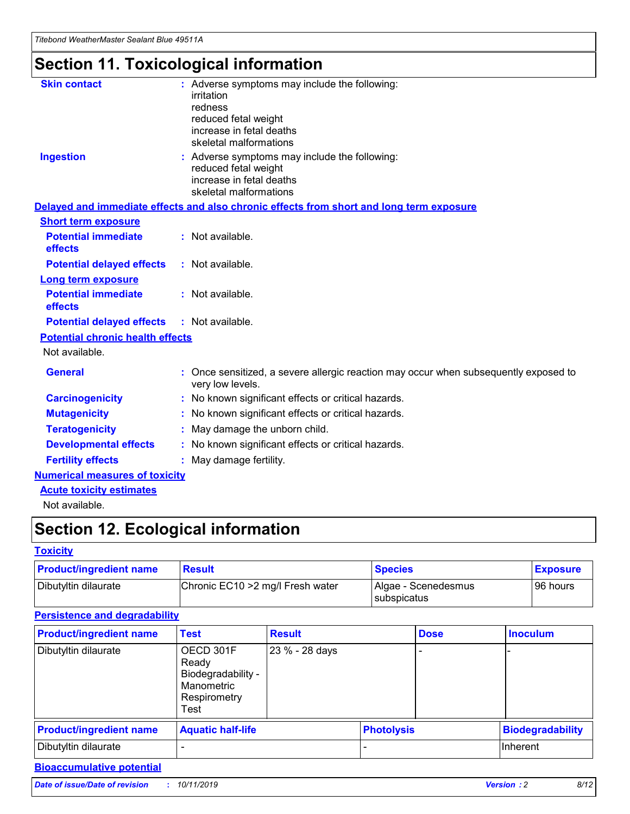## **Section 11. Toxicological information**

| <b>Skin contact</b>                     | : Adverse symptoms may include the following:<br>irritation<br>redness<br>reduced fetal weight<br>increase in fetal deaths<br>skeletal malformations |
|-----------------------------------------|------------------------------------------------------------------------------------------------------------------------------------------------------|
| <b>Ingestion</b>                        | : Adverse symptoms may include the following:<br>reduced fetal weight<br>increase in fetal deaths<br>skeletal malformations                          |
|                                         | Delayed and immediate effects and also chronic effects from short and long term exposure                                                             |
| <b>Short term exposure</b>              |                                                                                                                                                      |
| <b>Potential immediate</b><br>effects   | : Not available.                                                                                                                                     |
| <b>Potential delayed effects</b>        | : Not available.                                                                                                                                     |
| <b>Long term exposure</b>               |                                                                                                                                                      |
| <b>Potential immediate</b><br>effects   | : Not available.                                                                                                                                     |
| <b>Potential delayed effects</b>        | : Not available.                                                                                                                                     |
| <b>Potential chronic health effects</b> |                                                                                                                                                      |
| Not available.                          |                                                                                                                                                      |
| <b>General</b>                          | : Once sensitized, a severe allergic reaction may occur when subsequently exposed to<br>very low levels.                                             |
| <b>Carcinogenicity</b>                  | : No known significant effects or critical hazards.                                                                                                  |
| <b>Mutagenicity</b>                     | No known significant effects or critical hazards.                                                                                                    |
| <b>Teratogenicity</b>                   | May damage the unborn child.                                                                                                                         |
| <b>Developmental effects</b>            | No known significant effects or critical hazards.                                                                                                    |
| <b>Fertility effects</b>                | : May damage fertility.                                                                                                                              |
| <b>Numerical measures of toxicity</b>   |                                                                                                                                                      |
| <b>Acute toxicity estimates</b>         |                                                                                                                                                      |
|                                         |                                                                                                                                                      |

Not available.

## **Section 12. Ecological information**

#### **Toxicity**

| <b>Product/ingredient name</b> | <b>Result</b>                     | <b>Species</b>                       | <b>Exposure</b> |
|--------------------------------|-----------------------------------|--------------------------------------|-----------------|
| Dibutyltin dilaurate           | Chronic EC10 > 2 mg/l Fresh water | Algae - Scenedesmus<br>I subspicatus | l 96 hours      |

### **Persistence and degradability**

| <b>Product/ingredient name</b> | <b>Test</b>                                                                    | <b>Result</b>  |                   | <b>Dose</b> | <b>Inoculum</b>         |
|--------------------------------|--------------------------------------------------------------------------------|----------------|-------------------|-------------|-------------------------|
| Dibutyltin dilaurate           | OECD 301F<br>Ready<br>Biodegradability -<br>Manometric<br>Respirometry<br>Test | 23 % - 28 days |                   |             |                         |
| <b>Product/ingredient name</b> | <b>Aquatic half-life</b>                                                       |                | <b>Photolysis</b> |             | <b>Biodegradability</b> |
| Dibutyltin dilaurate           |                                                                                |                |                   |             | Inherent                |

### **Bioaccumulative potential**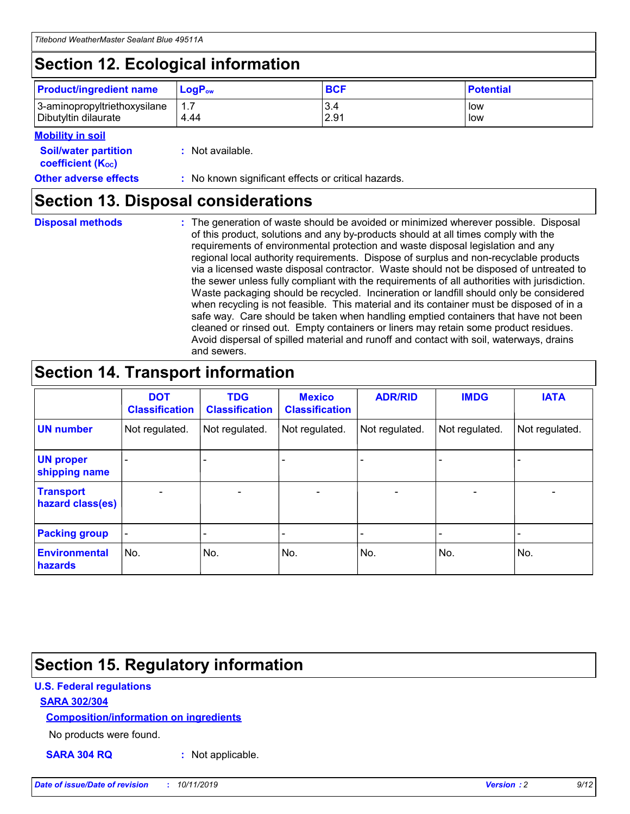## **Section 12. Ecological information**

| <b>Product/ingredient name</b> | $LoaPow$ | <b>BCF</b> | <b>Potential</b> |
|--------------------------------|----------|------------|------------------|
| 3-aminopropyltriethoxysilane   | 1.7      | 3.4        | low              |
| Dibutyltin dilaurate           | 4.44     | 2.91       | low              |

#### **Mobility in soil**

| <b>Soil/water partition</b><br>coefficient (K <sub>oc</sub> ) | : Not available.                                    |
|---------------------------------------------------------------|-----------------------------------------------------|
| <b>Other adverse effects</b>                                  | : No known significant effects or critical hazards. |

### **Section 13. Disposal considerations**

**Disposal methods :**

The generation of waste should be avoided or minimized wherever possible. Disposal of this product, solutions and any by-products should at all times comply with the requirements of environmental protection and waste disposal legislation and any regional local authority requirements. Dispose of surplus and non-recyclable products via a licensed waste disposal contractor. Waste should not be disposed of untreated to the sewer unless fully compliant with the requirements of all authorities with jurisdiction. Waste packaging should be recycled. Incineration or landfill should only be considered when recycling is not feasible. This material and its container must be disposed of in a safe way. Care should be taken when handling emptied containers that have not been cleaned or rinsed out. Empty containers or liners may retain some product residues. Avoid dispersal of spilled material and runoff and contact with soil, waterways, drains and sewers.

## **Section 14. Transport information**

|                                      | <b>DOT</b><br><b>Classification</b> | <b>TDG</b><br><b>Classification</b> | <b>Mexico</b><br><b>Classification</b> | <b>ADR/RID</b>           | <b>IMDG</b>              | <b>IATA</b>              |
|--------------------------------------|-------------------------------------|-------------------------------------|----------------------------------------|--------------------------|--------------------------|--------------------------|
| <b>UN number</b>                     | Not regulated.                      | Not regulated.                      | Not regulated.                         | Not regulated.           | Not regulated.           | Not regulated.           |
| <b>UN proper</b><br>shipping name    | $\qquad \qquad \blacksquare$        |                                     |                                        |                          |                          |                          |
| <b>Transport</b><br>hazard class(es) | $\blacksquare$                      | $\blacksquare$                      | $\blacksquare$                         | $\overline{\phantom{a}}$ | $\blacksquare$           | $\blacksquare$           |
| <b>Packing group</b>                 | $\overline{\phantom{a}}$            | $\overline{\phantom{0}}$            | $\overline{\phantom{0}}$               | -                        | $\overline{\phantom{0}}$ | $\overline{\phantom{a}}$ |
| <b>Environmental</b><br>hazards      | No.                                 | No.                                 | No.                                    | No.                      | No.                      | No.                      |

## **Section 15. Regulatory information**

#### **U.S. Federal regulations**

#### **SARA 302/304**

#### **Composition/information on ingredients**

No products were found.

**SARA 304 RQ :** Not applicable.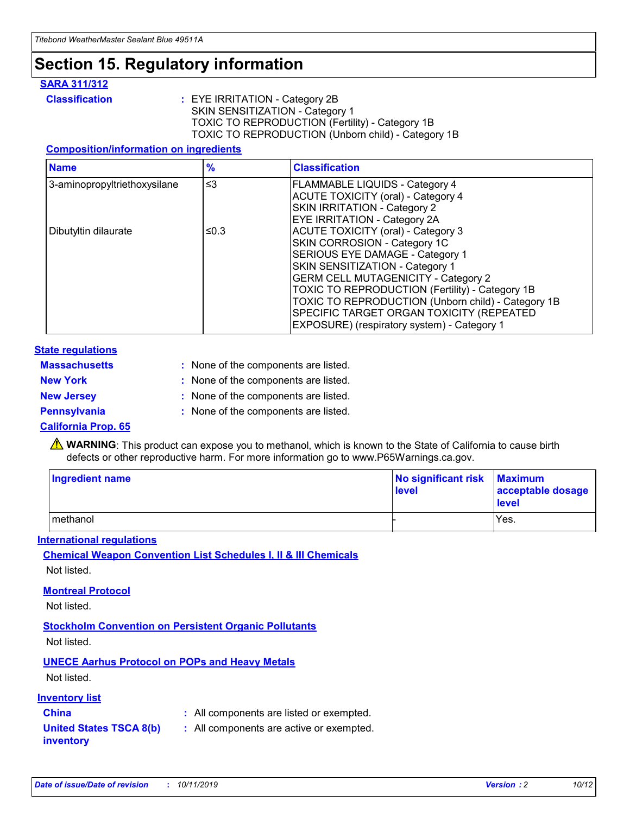## **Section 15. Regulatory information**

#### **SARA 311/312**

**Classification :** EYE IRRITATION - Category 2B SKIN SENSITIZATION - Category 1 TOXIC TO REPRODUCTION (Fertility) - Category 1B TOXIC TO REPRODUCTION (Unborn child) - Category 1B

#### **Composition/information on ingredients**

| <b>Name</b>                  | $\frac{9}{6}$ | <b>Classification</b>                                                                                            |
|------------------------------|---------------|------------------------------------------------------------------------------------------------------------------|
| 3-aminopropyltriethoxysilane | $\leq$ 3      | <b>FLAMMABLE LIQUIDS - Category 4</b><br><b>ACUTE TOXICITY (oral) - Category 4</b>                               |
|                              |               | SKIN IRRITATION - Category 2<br>EYE IRRITATION - Category 2A                                                     |
| Dibutyltin dilaurate         | ≤0.3          | ACUTE TOXICITY (oral) - Category 3<br>SKIN CORROSION - Category 1C                                               |
|                              |               | SERIOUS EYE DAMAGE - Category 1<br>SKIN SENSITIZATION - Category 1<br><b>GERM CELL MUTAGENICITY - Category 2</b> |
|                              |               | TOXIC TO REPRODUCTION (Fertility) - Category 1B<br>TOXIC TO REPRODUCTION (Unborn child) - Category 1B            |
|                              |               | SPECIFIC TARGET ORGAN TOXICITY (REPEATED<br>EXPOSURE) (respiratory system) - Category 1                          |

#### **State regulations**

| <b>Massachusetts</b> | : None of the components are listed. |
|----------------------|--------------------------------------|
| <b>New York</b>      | : None of the components are listed. |
| <b>New Jersey</b>    | : None of the components are listed. |
| <b>Pennsylvania</b>  | : None of the components are listed. |

#### **California Prop. 65**

**A** WARNING: This product can expose you to methanol, which is known to the State of California to cause birth defects or other reproductive harm. For more information go to www.P65Warnings.ca.gov.

| <b>Ingredient name</b> | No significant risk Maximum<br>level | acceptable dosage<br>level |
|------------------------|--------------------------------------|----------------------------|
| methanol               |                                      | Yes.                       |

#### **International regulations**

**Chemical Weapon Convention List Schedules I, II & III Chemicals** Not listed.

#### **Montreal Protocol**

Not listed.

#### **Stockholm Convention on Persistent Organic Pollutants**

Not listed.

### **UNECE Aarhus Protocol on POPs and Heavy Metals**

Not listed.

#### **Inventory list**

### **China :** All components are listed or exempted.

**United States TSCA 8(b) inventory :** All components are active or exempted.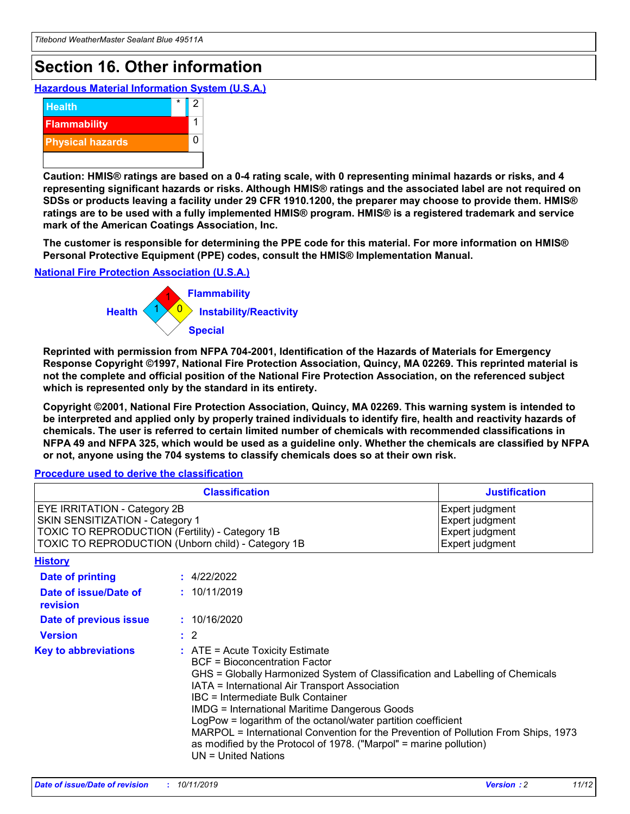## **Section 16. Other information**

**Hazardous Material Information System (U.S.A.)**



**Caution: HMIS® ratings are based on a 0-4 rating scale, with 0 representing minimal hazards or risks, and 4 representing significant hazards or risks. Although HMIS® ratings and the associated label are not required on SDSs or products leaving a facility under 29 CFR 1910.1200, the preparer may choose to provide them. HMIS® ratings are to be used with a fully implemented HMIS® program. HMIS® is a registered trademark and service mark of the American Coatings Association, Inc.**

**The customer is responsible for determining the PPE code for this material. For more information on HMIS® Personal Protective Equipment (PPE) codes, consult the HMIS® Implementation Manual.**

#### **National Fire Protection Association (U.S.A.)**



**Reprinted with permission from NFPA 704-2001, Identification of the Hazards of Materials for Emergency Response Copyright ©1997, National Fire Protection Association, Quincy, MA 02269. This reprinted material is not the complete and official position of the National Fire Protection Association, on the referenced subject which is represented only by the standard in its entirety.**

**Copyright ©2001, National Fire Protection Association, Quincy, MA 02269. This warning system is intended to be interpreted and applied only by properly trained individuals to identify fire, health and reactivity hazards of chemicals. The user is referred to certain limited number of chemicals with recommended classifications in NFPA 49 and NFPA 325, which would be used as a guideline only. Whether the chemicals are classified by NFPA or not, anyone using the 704 systems to classify chemicals does so at their own risk.**

**Procedure used to derive the classification**

| <b>Classification</b>                                                                                                                                                    |                                                                                                                                                  | <b>Justification</b>                                                                                                                                                                                                                                                                                                                                                                                                 |  |
|--------------------------------------------------------------------------------------------------------------------------------------------------------------------------|--------------------------------------------------------------------------------------------------------------------------------------------------|----------------------------------------------------------------------------------------------------------------------------------------------------------------------------------------------------------------------------------------------------------------------------------------------------------------------------------------------------------------------------------------------------------------------|--|
| EYE IRRITATION - Category 2B<br>SKIN SENSITIZATION - Category 1<br>TOXIC TO REPRODUCTION (Fertility) - Category 1B<br>TOXIC TO REPRODUCTION (Unborn child) - Category 1B |                                                                                                                                                  | Expert judgment<br>Expert judgment<br>Expert judgment<br>Expert judgment                                                                                                                                                                                                                                                                                                                                             |  |
| <b>History</b>                                                                                                                                                           |                                                                                                                                                  |                                                                                                                                                                                                                                                                                                                                                                                                                      |  |
| Date of printing                                                                                                                                                         | : 4/22/2022                                                                                                                                      |                                                                                                                                                                                                                                                                                                                                                                                                                      |  |
| Date of issue/Date of<br>revision                                                                                                                                        | : 10/11/2019                                                                                                                                     |                                                                                                                                                                                                                                                                                                                                                                                                                      |  |
| Date of previous issue                                                                                                                                                   | : 10/16/2020                                                                                                                                     |                                                                                                                                                                                                                                                                                                                                                                                                                      |  |
| <b>Version</b>                                                                                                                                                           | $\therefore$ 2                                                                                                                                   |                                                                                                                                                                                                                                                                                                                                                                                                                      |  |
| <b>Key to abbreviations</b>                                                                                                                                              | $\therefore$ ATE = Acute Toxicity Estimate<br><b>BCF</b> = Bioconcentration Factor<br>IBC = Intermediate Bulk Container<br>$UN = United Nations$ | GHS = Globally Harmonized System of Classification and Labelling of Chemicals<br>IATA = International Air Transport Association<br><b>IMDG = International Maritime Dangerous Goods</b><br>LogPow = logarithm of the octanol/water partition coefficient<br>MARPOL = International Convention for the Prevention of Pollution From Ships, 1973<br>as modified by the Protocol of 1978. ("Marpol" = marine pollution) |  |